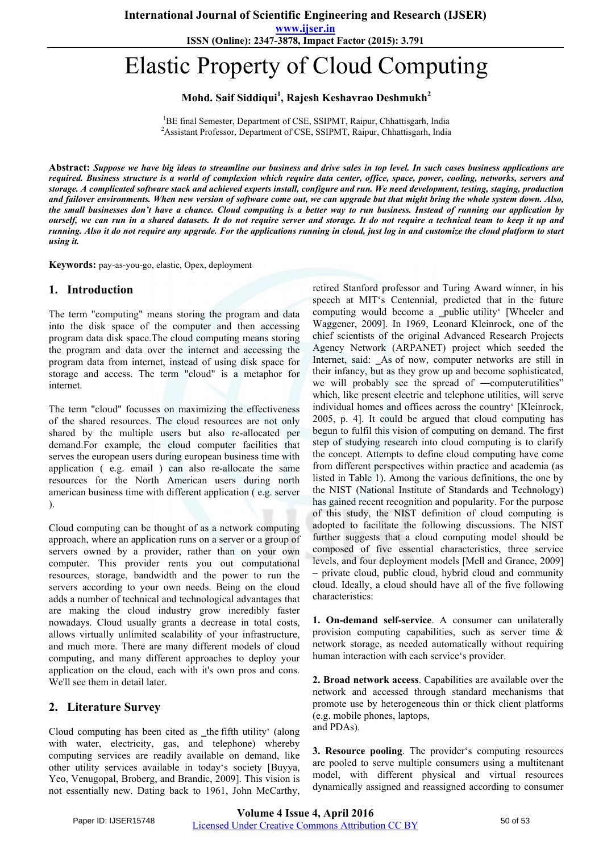**www.ijser.in**

**ISSN (Online): 2347-3878, Impact Factor (2015): 3.791**

# Elastic Property of Cloud Computing

## **Mohd. Saif Siddiqui<sup>1</sup> , Rajesh Keshavrao Deshmukh<sup>2</sup>**

<sup>1</sup>BE final Semester, Department of CSE, SSIPMT, Raipur, Chhattisgarh, India<br><sup>2</sup>Assistant Professor, Department of CSE, SSIPMT, Paipur, Chhattisgarh, India <sup>2</sup> Assistant Professor, Department of CSE, SSIPMT, Raipur, Chhattisgarh, India

**Abstract:** *Suppose we have big ideas to streamline our business and drive sales in top level. In such cases business applications are required. Business structure is a world of complexion which require data center, office, space, power, cooling, networks, servers and storage. A complicated software stack and achieved experts install, configure and run. We need development, testing, staging, production and failover environments. When new version of software come out, we can upgrade but that might bring the whole system down. Also, the small businesses don't have a chance. Cloud computing is a better way to run business. Instead of running our application by ourself, we can run in a shared datasets. It do not require server and storage. It do not require a technical team to keep it up and running. Also it do not require any upgrade. For the applications running in cloud, just log in and customize the cloud platform to start using it.*

**Keywords:** pay-as-you-go, elastic, Opex, deployment

#### **1. Introduction**

The term "computing" means storing the program and data into the disk space of the computer and then accessing program data disk space.The cloud computing means storing the program and data over the internet and accessing the program data from internet, instead of using disk space for storage and access. The term "cloud" is a metaphor for internet.

The term "cloud" focusses on maximizing the effectiveness of the shared resources. The cloud resources are not only shared by the multiple users but also re-allocated per demand.For example, the cloud computer facilities that serves the european users during european business time with application ( e.g. email ) can also re-allocate the same resources for the North American users during north american business time with different application ( e.g. server ).

Cloud computing can be thought of as a network computing approach, where an application runs on a server or a group of servers owned by a provider, rather than on your own computer. This provider rents you out computational resources, storage, bandwidth and the power to run the servers according to your own needs. Being on the cloud adds a number of technical and technological advantages that are making the cloud industry grow incredibly faster nowadays. Cloud usually grants a decrease in total costs, allows virtually unlimited scalability of your infrastructure, and much more. There are many different models of cloud computing, and many different approaches to deploy your application on the cloud, each with it's own pros and cons. We'll see them in detail later.

#### **2. Literature Survey**

Cloud computing has been cited as \_the fifth utility' (along with water, electricity, gas, and telephone) whereby computing services are readily available on demand, like other utility services available in today's society [Buyya, Yeo, Venugopal, Broberg, and Brandic, 2009]. This vision is not essentially new. Dating back to 1961, John McCarthy,

retired Stanford professor and Turing Award winner, in his speech at MIT's Centennial, predicted that in the future computing would become a \_public utility' [Wheeler and Waggener, 2009]. In 1969, Leonard Kleinrock, one of the chief scientists of the original Advanced Research Projects Agency Network (ARPANET) project which seeded the Internet, said: \_As of now, computer networks are still in their infancy, but as they grow up and become sophisticated, we will probably see the spread of —computerutilities" which, like present electric and telephone utilities, will serve individual homes and offices across the country' [Kleinrock, 2005, p. 4]. It could be argued that cloud computing has begun to fulfil this vision of computing on demand. The first step of studying research into cloud computing is to clarify the concept. Attempts to define cloud computing have come from different perspectives within practice and academia (as listed in Table 1). Among the various definitions, the one by the NIST (National Institute of Standards and Technology) has gained recent recognition and popularity. For the purpose of this study, the NIST definition of cloud computing is adopted to facilitate the following discussions. The NIST further suggests that a cloud computing model should be composed of five essential characteristics, three service levels, and four deployment models [Mell and Grance, 2009] – private cloud, public cloud, hybrid cloud and community cloud. Ideally, a cloud should have all of the five following characteristics:

**1. On-demand self-service**. A consumer can unilaterally provision computing capabilities, such as server time & network storage, as needed automatically without requiring human interaction with each service's provider.

**2. Broad network access**. Capabilities are available over the network and accessed through standard mechanisms that promote use by heterogeneous thin or thick client platforms (e.g. mobile phones, laptops, and PDAs).

**3. Resource pooling**. The provider's computing resources are pooled to serve multiple consumers using a multitenant model, with different physical and virtual resources dynamically assigned and reassigned according to consumer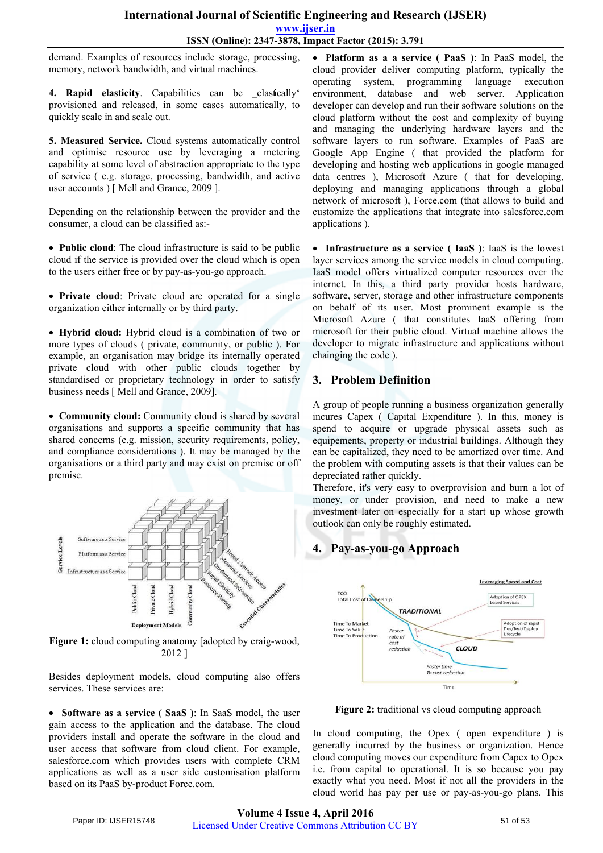## **International Journal of Scientific Engineering and Research (IJSER) www.ijser.in ISSN (Online): 2347-3878, Impact Factor (2015): 3.791**

demand. Examples of resources include storage, processing, memory, network bandwidth, and virtual machines.

4. **Rapid elasticity**. Capabilities can be elastically provisioned and released, in some cases automatically, to quickly scale in and scale out.

**5. Measured Service.** Cloud systems automatically control and optimise resource use by leveraging a metering capability at some level of abstraction appropriate to the type of service ( e.g. storage, processing, bandwidth, and active user accounts ) [ Mell and Grance, 2009 ].

Depending on the relationship between the provider and the consumer, a cloud can be classified as:-

 **Public cloud**: The cloud infrastructure is said to be public cloud if the service is provided over the cloud which is open to the users either free or by pay-as-you-go approach.

 **Private cloud**: Private cloud are operated for a single organization either internally or by third party.

 **Hybrid cloud:** Hybrid cloud is a combination of two or more types of clouds ( private, community, or public ). For example, an organisation may bridge its internally operated private cloud with other public clouds together by standardised or proprietary technology in order to satisfy business needs [ Mell and Grance, 2009].

 **Community cloud:** Community cloud is shared by several organisations and supports a specific community that has shared concerns (e.g. mission, security requirements, policy, and compliance considerations ). It may be managed by the organisations or a third party and may exist on premise or off premise.



**Figure 1:** cloud computing anatomy [adopted by craig-wood, 2012 ]

Besides deployment models, cloud computing also offers services. These services are:

 **Software as a service ( SaaS )**: In SaaS model, the user gain access to the application and the database. The cloud providers install and operate the software in the cloud and user access that software from cloud client. For example, salesforce.com which provides users with complete CRM applications as well as a user side customisation platform based on its PaaS by-product Force.com.

 **Platform as a a service ( PaaS )**: In PaaS model, the cloud provider deliver computing platform, typically the operating system, programming language execution environment, database and web server. Application developer can develop and run their software solutions on the cloud platform without the cost and complexity of buying and managing the underlying hardware layers and the software layers to run software. Examples of PaaS are Google App Engine ( that provided the platform for developing and hosting web applications in google managed data centres ), Microsoft Azure ( that for developing, deploying and managing applications through a global network of microsoft ), Force.com (that allows to build and customize the applications that integrate into salesforce.com applications ).

 **Infrastructure as a service ( IaaS )**: IaaS is the lowest layer services among the service models in cloud computing. IaaS model offers virtualized computer resources over the internet. In this, a third party provider hosts hardware, software, server, storage and other infrastructure components on behalf of its user. Most prominent example is the Microsoft Azure ( that constitutes IaaS offering from microsoft for their public cloud. Virtual machine allows the developer to migrate infrastructure and applications without chainging the code ).

# **3. Problem Definition**

A group of people running a business organization generally incures Capex ( Capital Expenditure ). In this, money is spend to acquire or upgrade physical assets such as equipements, property or industrial buildings. Although they can be capitalized, they need to be amortized over time. And the problem with computing assets is that their values can be depreciated rather quickly.

Therefore, it's very easy to overprovision and burn a lot of money, or under provision, and need to make a new investment later on especially for a start up whose growth outlook can only be roughly estimated.

# **4. Pay-as-you-go Approach**



**Figure 2:** traditional vs cloud computing approach

In cloud computing, the Opex ( open expenditure ) is generally incurred by the business or organization. Hence cloud computing moves our expenditure from Capex to Opex i.e. from capital to operational. It is so because you pay exactly what you need. Most if not all the providers in the cloud world has pay per use or pay-as-you-go plans. This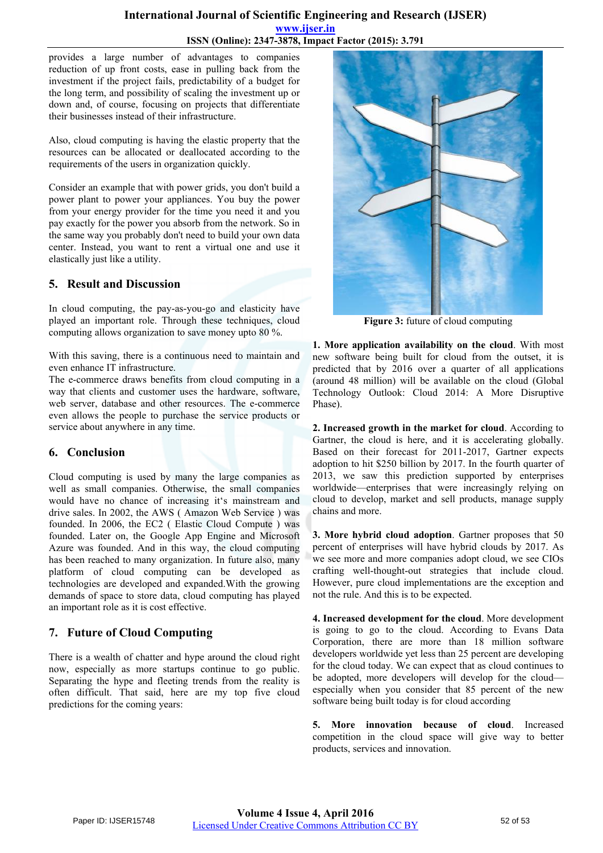#### **International Journal of Scientific Engineering and Research (IJSER) www.ijser.in ISSN (Online): 2347-3878, Impact Factor (2015): 3.791**

provides a large number of advantages to companies reduction of up front costs, ease in pulling back from the investment if the project fails, predictability of a budget for the long term, and possibility of scaling the investment up or down and, of course, focusing on projects that differentiate their businesses instead of their infrastructure.

Also, cloud computing is having the elastic property that the resources can be allocated or deallocated according to the requirements of the users in organization quickly.

Consider an example that with power grids, you don't build a power plant to power your appliances. You buy the power from your energy provider for the time you need it and you pay exactly for the power you absorb from the network. So in the same way you probably don't need to build your own data center. Instead, you want to rent a virtual one and use it elastically just like a utility.

## **5. Result and Discussion**

In cloud computing, the pay-as-you-go and elasticity have played an important role. Through these techniques, cloud computing allows organization to save money upto 80 %.

With this saving, there is a continuous need to maintain and even enhance IT infrastructure.

The e-commerce draws benefits from cloud computing in a way that clients and customer uses the hardware, software, web server, database and other resources. The e-commerce even allows the people to purchase the service products or service about anywhere in any time.

## **6. Conclusion**

Cloud computing is used by many the large companies as well as small companies. Otherwise, the small companies would have no chance of increasing it's mainstream and drive sales. In 2002, the AWS ( Amazon Web Service ) was founded. In 2006, the EC2 ( Elastic Cloud Compute ) was founded. Later on, the Google App Engine and Microsoft Azure was founded. And in this way, the cloud computing has been reached to many organization. In future also, many platform of cloud computing can be developed as technologies are developed and expanded.With the growing demands of space to store data, cloud computing has played an important role as it is cost effective.

# **7. Future of Cloud Computing**

There is a wealth of chatter and hype around the cloud right now, especially as more startups continue to go public. Separating the hype and fleeting trends from the reality is often difficult. That said, here are my top five cloud predictions for the coming years:



**Figure 3:** future of cloud computing

**1. More application availability on the cloud**. With most new software being built for cloud from the outset, it is predicted that by 2016 over a quarter of all applications (around 48 million) will be available on the cloud (Global Technology Outlook: Cloud 2014: A More Disruptive Phase).

**2. Increased growth in the market for cloud**. According to Gartner, the cloud is here, and it is accelerating globally. Based on their [forecast for](https://www.gartner.com/doc/2637515/forecast-it-services--q) 2011-2017, Gartner expects adoption to hit \$250 billion by 2017. In the fourth quarter of 2013, we saw this prediction supported by enterprises worldwide—enterprises that were increasingly relying on cloud to develop, market and sell products, manage supply chains and more.

**3. More hybrid cloud adoption**. Gartner proposes that 50 percent of enterprises will have hybrid clouds by 2017. As we see more and more companies adopt cloud, we see CIOs crafting well-thought-out strategies that include cloud. However, pure cloud implementations are the exception and not the rule. And this is to be expected.

**4. Increased development for the cloud**. More development is going to go to the cloud. According to [Evans Data](http://evansdata.com/)  [Corporation,](http://evansdata.com/) there are more than 18 million software developers worldwide yet less than 25 percent are developing for the cloud today. We can expect that as cloud continues to be adopted, more developers will develop for the cloud especially when you consider that 85 percent of the new software being built today is for cloud according

**5. More innovation because of cloud**. Increased competition in the cloud space will give way to better products, services and innovation.